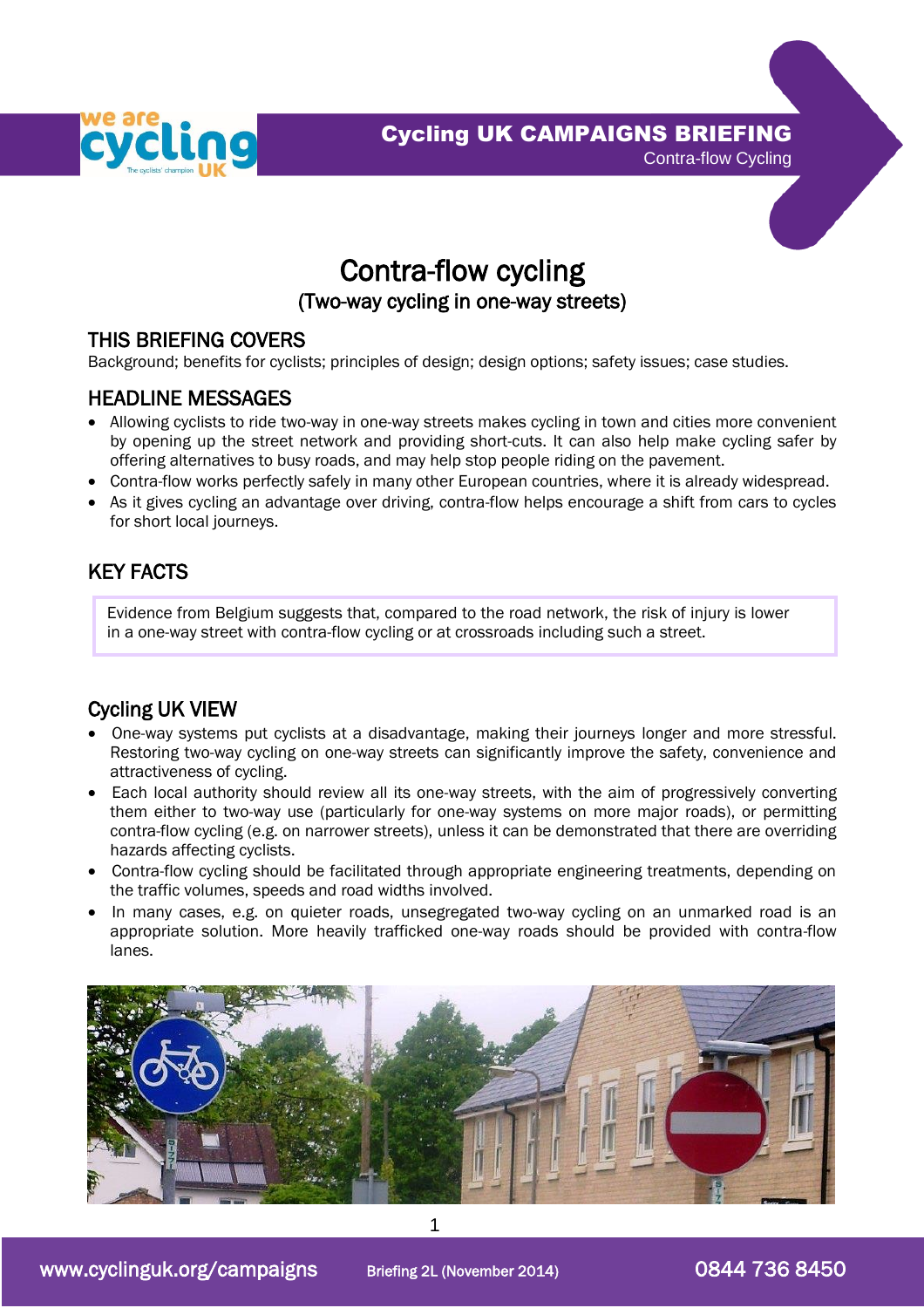

Cycling UK CAMPAIGNS BRIEFING



Contra-flow cycling

## (Two-way cycling in one-way streets)

## THIS BRIEFING COVERS

Background; benefits for cyclists; principles of design; design options; safety issues; case studies.

### HEADLINE MESSAGES

- Allowing cyclists to ride two-way in one-way streets makes cycling in town and cities more convenient by opening up the street network and providing short-cuts. It can also help make cycling safer by offering alternatives to busy roads, and may help stop people riding on the pavement.
- Contra-flow works perfectly safely in many other European countries, where it is already widespread.
- As it gives cycling an advantage over driving, contra-flow helps encourage a shift from cars to cycles for short local journeys.

# KEY FACTS

Evidence from Belgium suggests that, compared to the road network, the risk of injury is lower in a one-way street with contra-flow cycling or at crossroads including such a street.

# Cycling UK VIEW

- One-way systems put cyclists at a disadvantage, making their journeys longer and more stressful. Restoring two-way cycling on one-way streets can significantly improve the safety, convenience and attractiveness of cycling.
- Each local authority should review all its one-way streets, with the aim of progressively converting them either to two-way use (particularly for one-way systems on more major roads), or permitting contra-flow cycling (e.g. on narrower streets), unless it can be demonstrated that there are overriding hazards affecting cyclists.
- Contra-flow cycling should be facilitated through appropriate engineering treatments, depending on the traffic volumes, speeds and road widths involved.
- In many cases, e.g. on quieter roads, unsegregated two-way cycling on an unmarked road is an appropriate solution. More heavily trafficked one-way roads should be provided with contra-flow lanes.

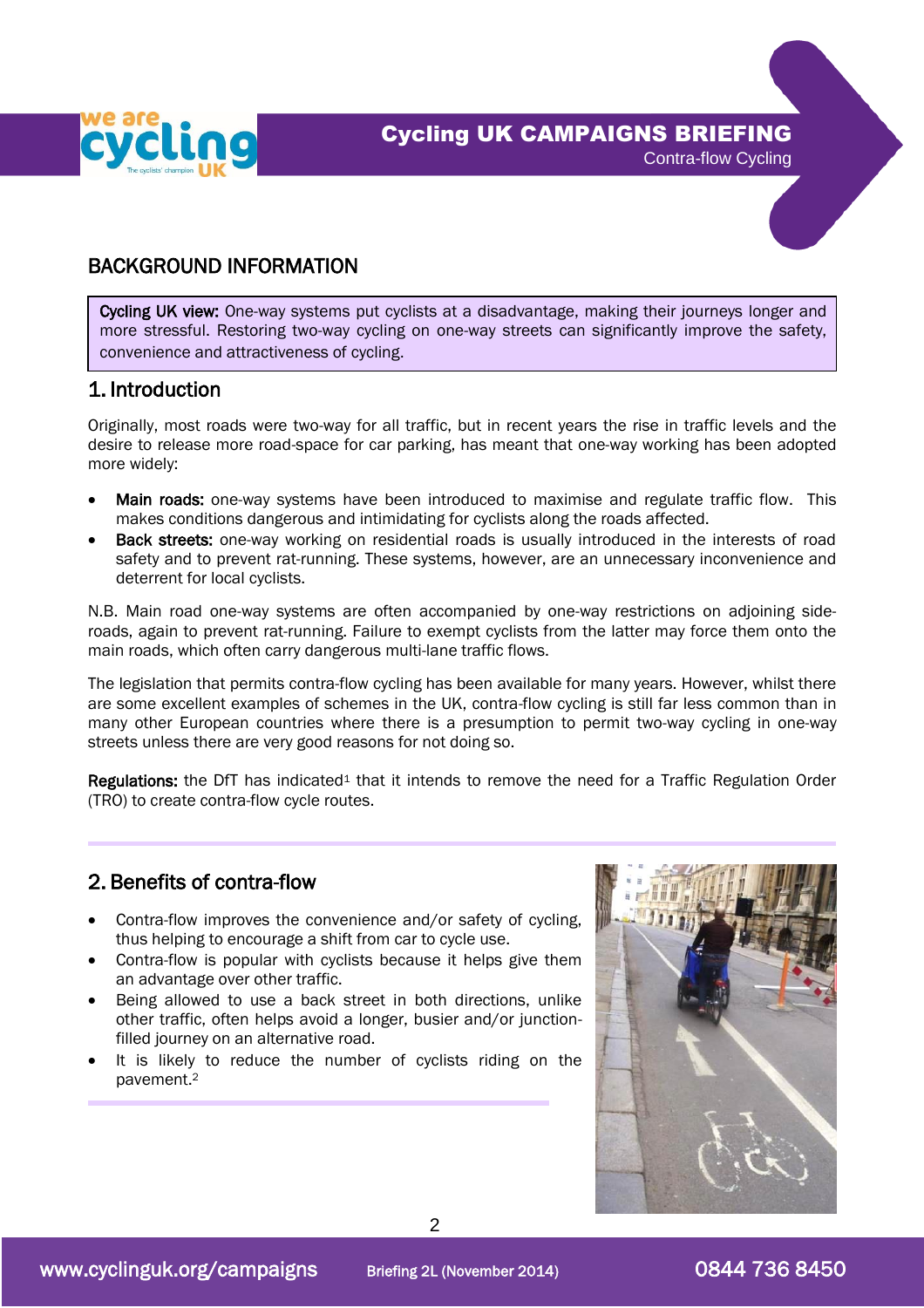



# BACKGROUND INFORMATION

Cycling UK view: One-way systems put cyclists at a disadvantage, making their journeys longer and more stressful. Restoring two-way cycling on one-way streets can significantly improve the safety, convenience and attractiveness of cycling.

### 1. Introduction

L

Originally, most roads were two-way for all traffic, but in recent years the rise in traffic levels and the desire to release more road-space for car parking, has meant that one-way working has been adopted more widely:

- Main roads: one-way systems have been introduced to maximise and regulate traffic flow. This makes conditions dangerous and intimidating for cyclists along the roads affected.
- Back streets: one-way working on residential roads is usually introduced in the interests of road safety and to prevent rat-running. These systems, however, are an unnecessary inconvenience and deterrent for local cyclists.

N.B. Main road one-way systems are often accompanied by one-way restrictions on adjoining sideroads, again to prevent rat-running. Failure to exempt cyclists from the latter may force them onto the main roads, which often carry dangerous multi-lane traffic flows.

The legislation that permits contra-flow cycling has been available for many years. However, whilst there are some excellent examples of schemes in the UK, contra-flow cycling is still far less common than in many other European countries where there is a presumption to permit two-way cycling in one-way streets unless there are very good reasons for not doing so.

**Regulations:** the DfT has indicated<sup>1</sup> that it intends to remove the need for a Traffic Regulation Order (TRO) to create contra-flow cycle routes.

## 2. Benefits of contra-flow

- Contra-flow improves the convenience and/or safety of cycling, thus helping to encourage a shift from car to cycle use.
- Contra-flow is popular with cyclists because it helps give them an advantage over other traffic.
- Being allowed to use a back street in both directions, unlike other traffic, often helps avoid a longer, busier and/or junctionfilled journey on an alternative road.
- It is likely to reduce the number of cyclists riding on the pavement.<sup>2</sup>

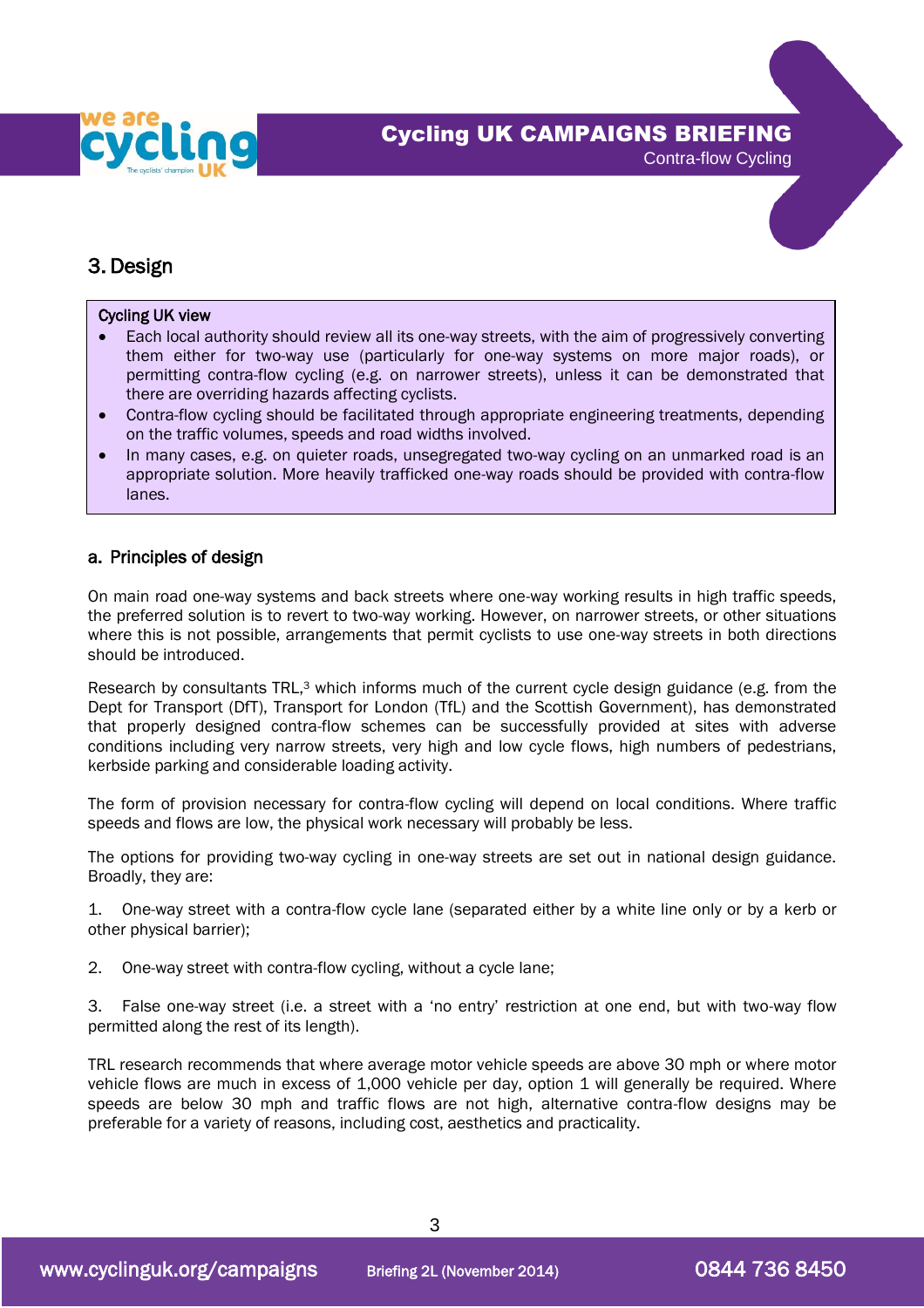

Contra-flow Cycling

## 3. Design

j

٦

### Cycling UK view

- Each local authority should review all its one-way streets, with the aim of progressively converting them either for two-way use (particularly for one-way systems on more major roads), or permitting contra-flow cycling (e.g. on narrower streets), unless it can be demonstrated that there are overriding hazards affecting cyclists.
- Contra-flow cycling should be facilitated through appropriate engineering treatments, depending on the traffic volumes, speeds and road widths involved.
- In many cases, e.g. on quieter roads, unsegregated two-way cycling on an unmarked road is an appropriate solution. More heavily trafficked one-way roads should be provided with contra-flow lanes.

### a. Principles of design

On main road one-way systems and back streets where one-way working results in high traffic speeds, the preferred solution is to revert to two-way working. However, on narrower streets, or other situations where this is not possible, arrangements that permit cyclists to use one-way streets in both directions should be introduced.

Research by consultants TRL,<sup>3</sup> which informs much of the current cycle design guidance (e.g. from the Dept for Transport (DfT), Transport for London (TfL) and the Scottish Government), has demonstrated that properly designed contra-flow schemes can be successfully provided at sites with adverse conditions including very narrow streets, very high and low cycle flows, high numbers of pedestrians, kerbside parking and considerable loading activity.

The form of provision necessary for contra-flow cycling will depend on local conditions. Where traffic speeds and flows are low, the physical work necessary will probably be less.

The options for providing two-way cycling in one-way streets are set out in national design guidance. Broadly, they are:

1. One-way street with a contra-flow cycle lane (separated either by a white line only or by a kerb or other physical barrier);

- 2. One-way street with contra-flow cycling, without a cycle lane;
- 3. False one-way street (i.e. a street with a 'no entry' restriction at one end, but with two-way flow permitted along the rest of its length).

TRL research recommends that where average motor vehicle speeds are above 30 mph or where motor vehicle flows are much in excess of 1,000 vehicle per day, option 1 will generally be required. Where speeds are below 30 mph and traffic flows are not high, alternative contra-flow designs may be preferable for a variety of reasons, including cost, aesthetics and practicality.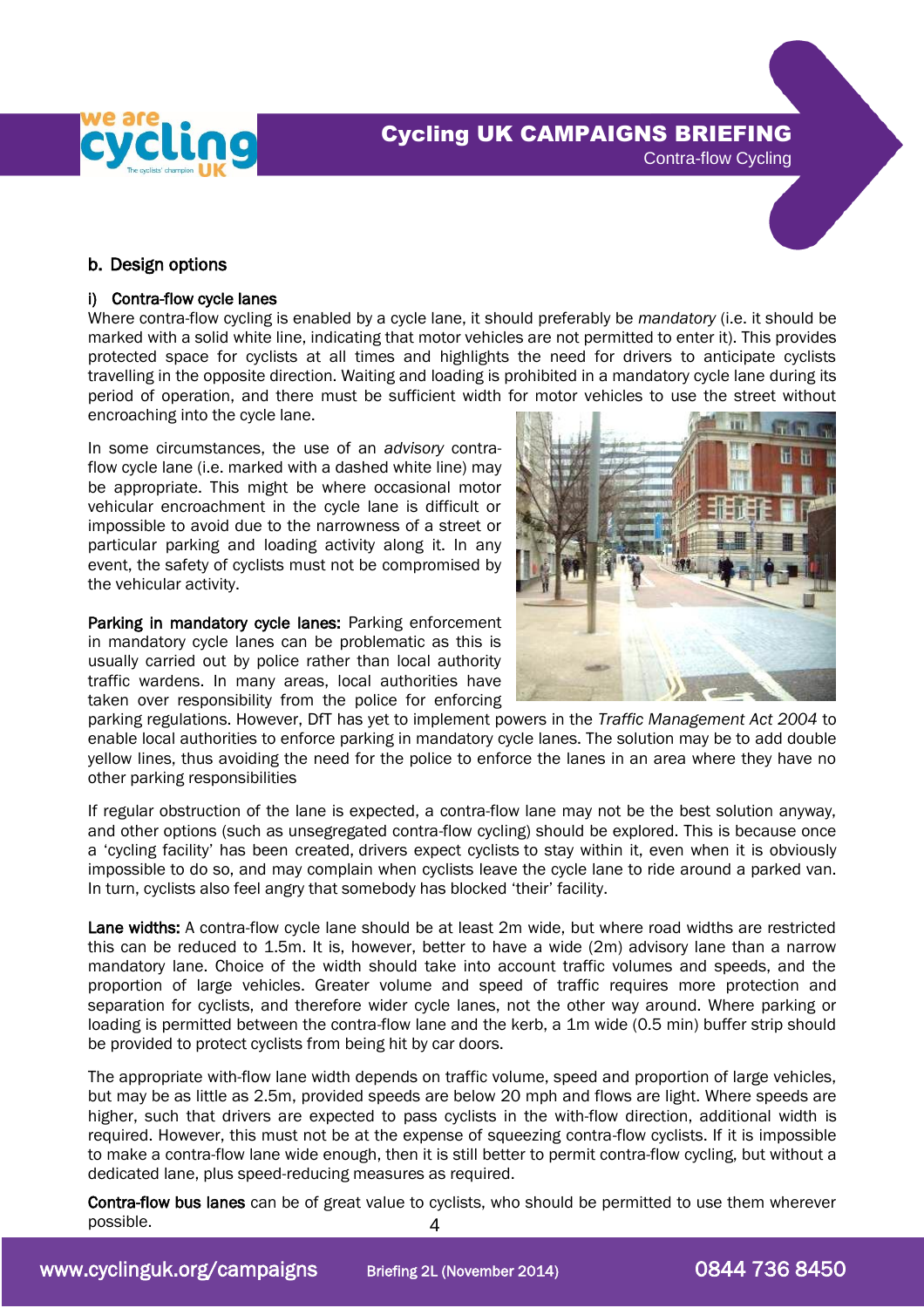

# Cycling UK CAMPAIGNS BRIEFING



### b. Design options

### i) Contra-flow cycle lanes

Where contra-flow cycling is enabled by a cycle lane, it should preferably be *mandatory* (i.e. it should be marked with a solid white line, indicating that motor vehicles are not permitted to enter it). This provides protected space for cyclists at all times and highlights the need for drivers to anticipate cyclists travelling in the opposite direction. Waiting and loading is prohibited in a mandatory cycle lane during its period of operation, and there must be sufficient width for motor vehicles to use the street without encroaching into the cycle lane.

In some circumstances, the use of an *advisory* contraflow cycle lane (i.e. marked with a dashed white line) may be appropriate. This might be where occasional motor vehicular encroachment in the cycle lane is difficult or impossible to avoid due to the narrowness of a street or particular parking and loading activity along it. In any event, the safety of cyclists must not be compromised by the vehicular activity.

Parking in mandatory cycle lanes: Parking enforcement in mandatory cycle lanes can be problematic as this is usually carried out by police rather than local authority traffic wardens. In many areas, local authorities have taken over responsibility from the police for enforcing



parking regulations. However, DfT has yet to implement powers in the *Traffic Management Act 2004* to enable local authorities to enforce parking in mandatory cycle lanes. The solution may be to add double yellow lines, thus avoiding the need for the police to enforce the lanes in an area where they have no other parking responsibilities

If regular obstruction of the lane is expected, a contra-flow lane may not be the best solution anyway, and other options (such as unsegregated contra-flow cycling) should be explored. This is because once a 'cycling facility' has been created, drivers expect cyclists to stay within it, even when it is obviously impossible to do so, and may complain when cyclists leave the cycle lane to ride around a parked van. In turn, cyclists also feel angry that somebody has blocked 'their' facility.

Lane widths: A contra-flow cycle lane should be at least 2m wide, but where road widths are restricted this can be reduced to 1.5m. It is, however, better to have a wide (2m) advisory lane than a narrow mandatory lane. Choice of the width should take into account traffic volumes and speeds, and the proportion of large vehicles. Greater volume and speed of traffic requires more protection and separation for cyclists, and therefore wider cycle lanes, not the other way around. Where parking or loading is permitted between the contra-flow lane and the kerb, a 1m wide (0.5 min) buffer strip should be provided to protect cyclists from being hit by car doors.

The appropriate with-flow lane width depends on traffic volume, speed and proportion of large vehicles, but may be as little as 2.5m, provided speeds are below 20 mph and flows are light. Where speeds are higher, such that drivers are expected to pass cyclists in the with-flow direction, additional width is required. However, this must not be at the expense of squeezing contra-flow cyclists. If it is impossible to make a contra-flow lane wide enough, then it is still better to permit contra-flow cycling, but without a dedicated lane, plus speed-reducing measures as required.

4 Contra-flow bus lanes can be of great value to cyclists, who should be permitted to use them wherever possible.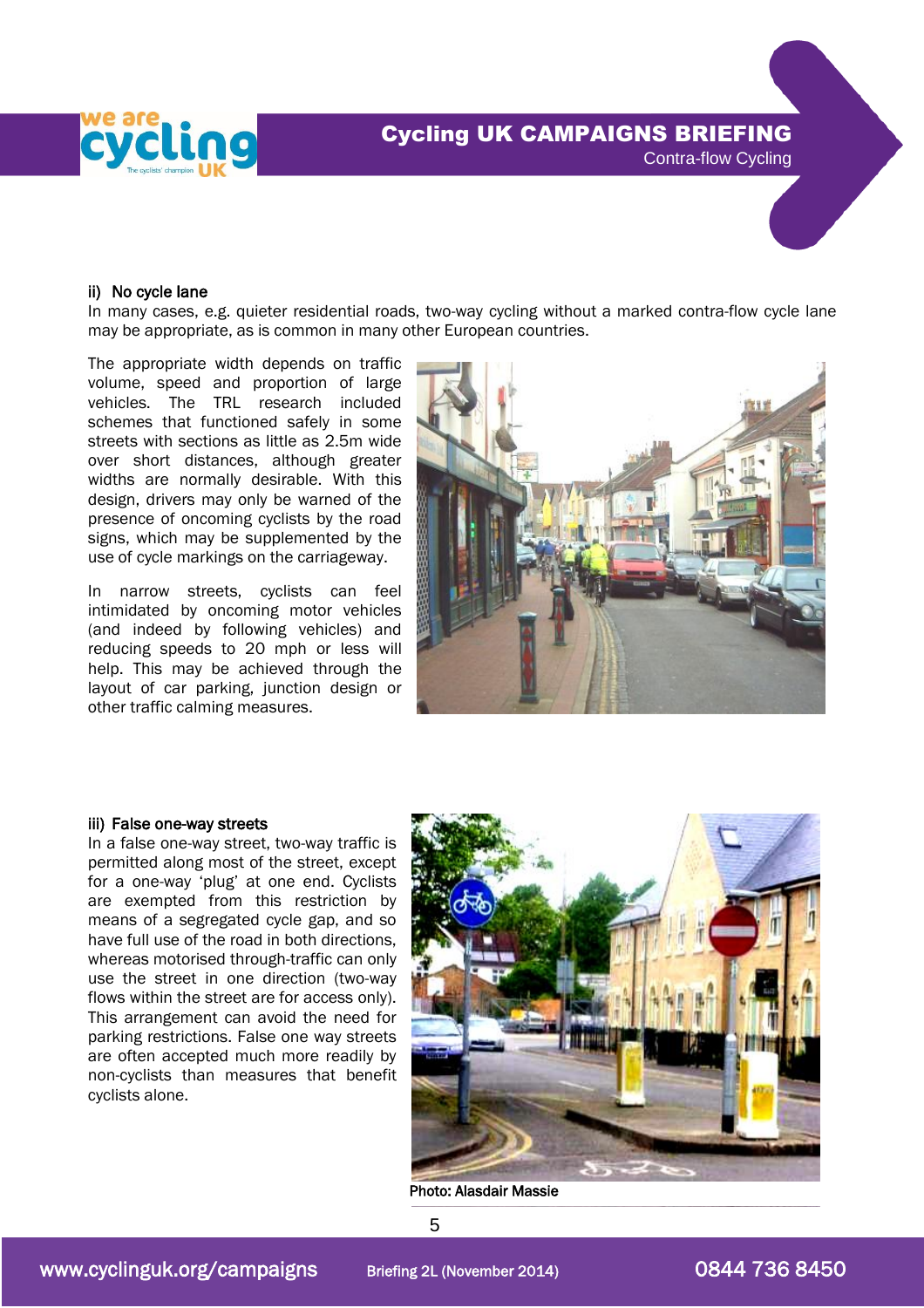



#### ii) No cycle lane

In many cases, e.g. quieter residential roads, two-way cycling without a marked contra-flow cycle lane may be appropriate, as is common in many other European countries.

The appropriate width depends on traffic volume, speed and proportion of large vehicles. The TRL research included schemes that functioned safely in some streets with sections as little as 2.5m wide over short distances, although greater widths are normally desirable. With this design, drivers may only be warned of the presence of oncoming cyclists by the road signs, which may be supplemented by the use of cycle markings on the carriageway.

In narrow streets, cyclists can feel intimidated by oncoming motor vehicles (and indeed by following vehicles) and reducing speeds to 20 mph or less will help. This may be achieved through the layout of car parking, junction design or other traffic calming measures.



#### iii) False one-way streets

In a false one-way street, two-way traffic is permitted along most of the street, except for a one-way 'plug' at one end. Cyclists are exempted from this restriction by means of a segregated cycle gap, and so have full use of the road in both directions, whereas motorised through-traffic can only use the street in one direction (two-way flows within the street are for access only). This arrangement can avoid the need for parking restrictions. False one way streets are often accepted much more readily by non-cyclists than measures that benefit cyclists alone.



Photo: Alasdair Massie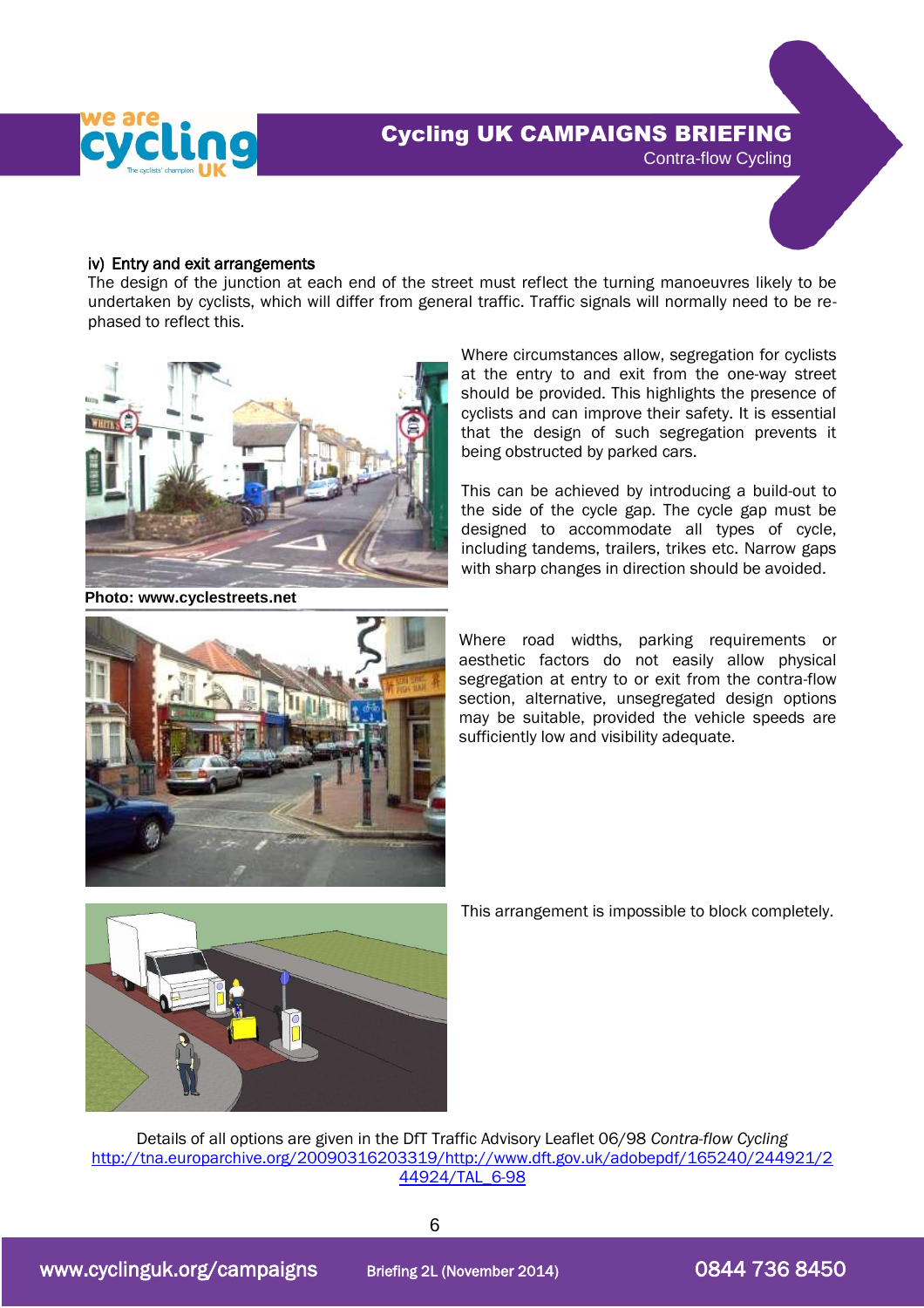



### iv) Entry and exit arrangements

The design of the junction at each end of the street must reflect the turning manoeuvres likely to be undertaken by cyclists, which will differ from general traffic. Traffic signals will normally need to be rephased to reflect this.



**Photo: www.cyclestreets.net**

Where circumstances allow, segregation for cyclists at the entry to and exit from the one-way street should be provided. This highlights the presence of cyclists and can improve their safety. It is essential that the design of such segregation prevents it being obstructed by parked cars.

This can be achieved by introducing a build-out to the side of the cycle gap. The cycle gap must be designed to accommodate all types of cycle, including tandems, trailers, trikes etc. Narrow gaps with sharp changes in direction should be avoided.



Where road widths, parking requirements or aesthetic factors do not easily allow physical segregation at entry to or exit from the contra-flow section, alternative, unsegregated design options may be suitable, provided the vehicle speeds are sufficiently low and visibility adequate.



This arrangement is impossible to block completely.

Details of all options are given in the DfT Traffic Advisory Leaflet 06/98 *Contra-flow Cycling* [http://tna.europarchive.org/20090316203319/http://www.dft.gov.uk/adobepdf/165240/244921/2](http://tna.europarchive.org/20090316203319/http:/www.dft.gov.uk/adobepdf/165240/244921/244924/TAL_6-98) [44924/TAL\\_6-98](http://tna.europarchive.org/20090316203319/http:/www.dft.gov.uk/adobepdf/165240/244921/244924/TAL_6-98)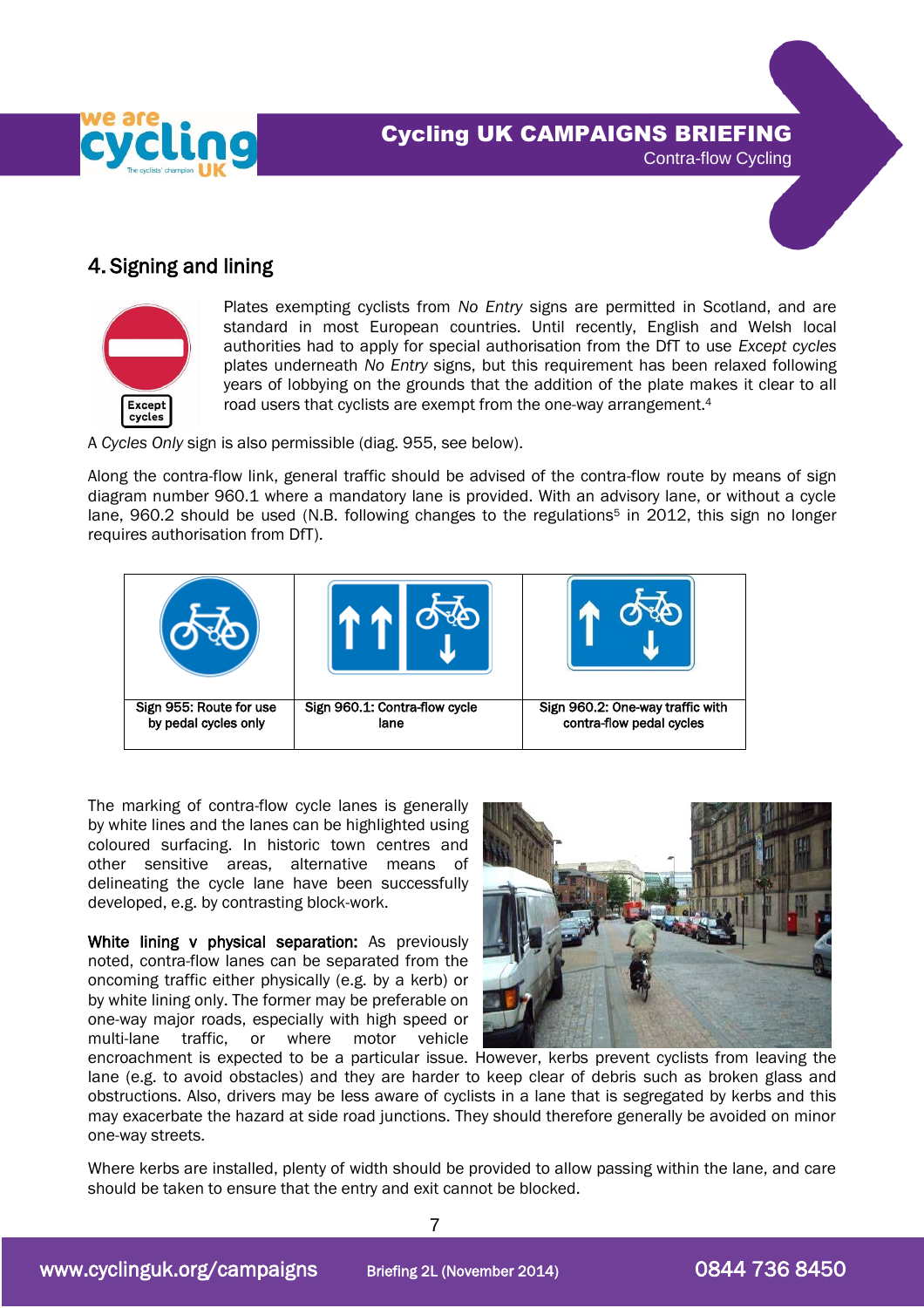



### 4. Signing and lining



Plates exempting cyclists from *No Entry* signs are permitted in Scotland, and are standard in most European countries. Until recently, English and Welsh local authorities had to apply for special authorisation from the DfT to use *Except cycles* plates underneath *No Entry* signs, but this requirement has been relaxed following years of lobbying on the grounds that the addition of the plate makes it clear to all road users that cyclists are exempt from the one-way arrangement. 4

A *Cycles Only* sign is also permissible (diag. 955, see below).

Along the contra-flow link, general traffic should be advised of the contra-flow route by means of sign diagram number 960.1 where a mandatory lane is provided. With an advisory lane, or without a cycle lane, 960.2 should be used (N.B. following changes to the regulations<sup>5</sup> in 2012, this sign no longer requires authorisation from DfT).

| Sign 955: Route for use | Sign 960.1: Contra-flow cycle | Sign 960.2: One-way traffic with |
|-------------------------|-------------------------------|----------------------------------|
| by pedal cycles only    | lane                          | contra-flow pedal cycles         |

The marking of contra-flow cycle lanes is generally by white lines and the lanes can be highlighted using coloured surfacing. In historic town centres and other sensitive areas, alternative means of delineating the cycle lane have been successfully developed, e.g. by contrasting block-work.

White lining v physical separation: As previously noted, contra-flow lanes can be separated from the oncoming traffic either physically (e.g. by a kerb) or by white lining only. The former may be preferable on one-way major roads, especially with high speed or multi-lane traffic, or where motor vehicle



encroachment is expected to be a particular issue. However, kerbs prevent cyclists from leaving the lane (e.g. to avoid obstacles) and they are harder to keep clear of debris such as broken glass and obstructions. Also, drivers may be less aware of cyclists in a lane that is segregated by kerbs and this may exacerbate the hazard at side road junctions. They should therefore generally be avoided on minor one-way streets.

Where kerbs are installed, plenty of width should be provided to allow passing within the lane, and care should be taken to ensure that the entry and exit cannot be blocked.

7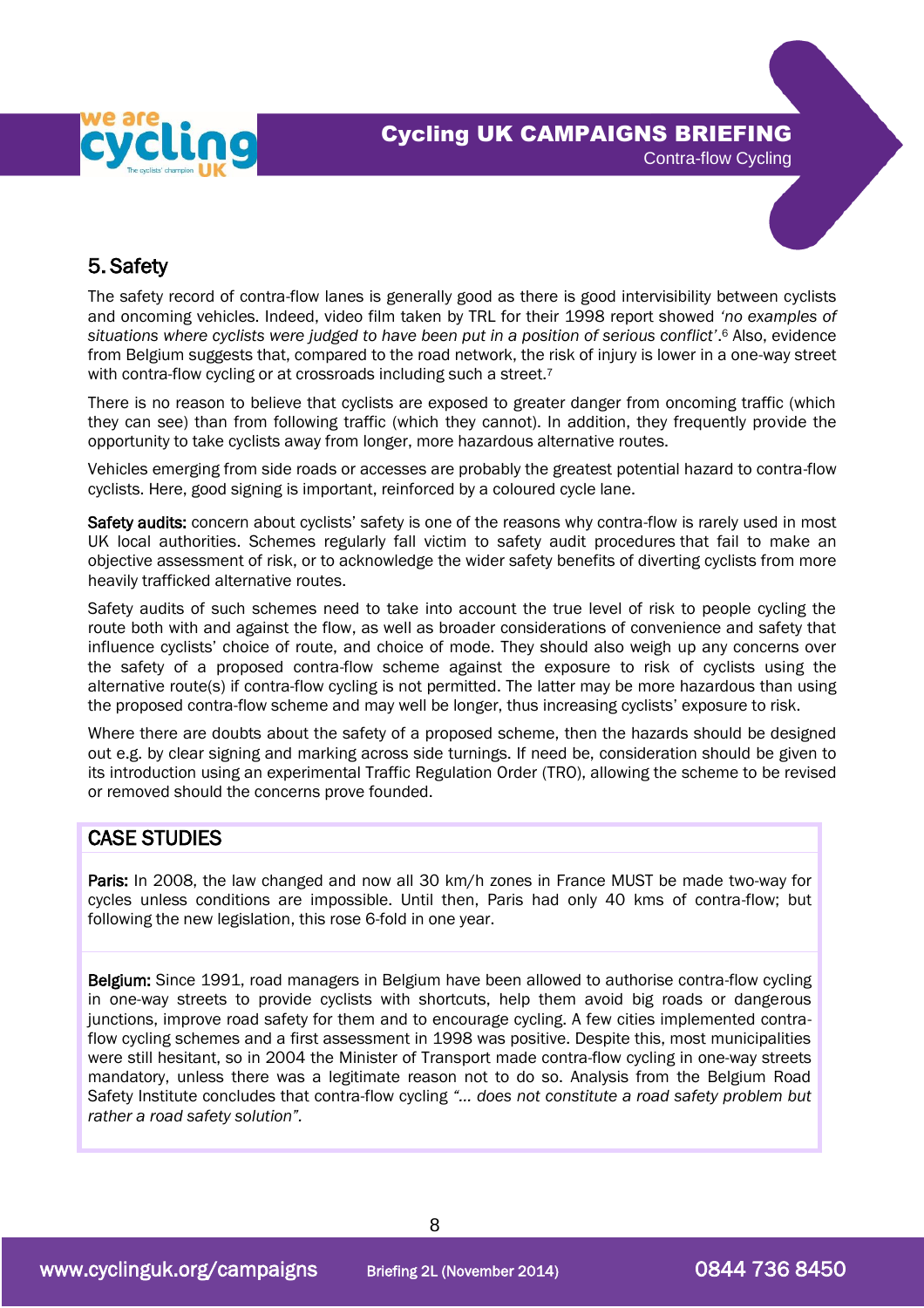



## 5. Safety

 The safety record of contra-flow lanes is generally good as there is good intervisibility between cyclists and oncoming vehicles. Indeed, video film taken by TRL for their 1998 report showed *'no examples of situations where cyclists were judged to have been put in a position of serious conflict'*. <sup>6</sup> Also, evidence from Belgium suggests that, compared to the road network, the risk of injury is lower in a one-way street with contra-flow cycling or at crossroads including such a street.<sup>7</sup>

There is no reason to believe that cyclists are exposed to greater danger from oncoming traffic (which they can see) than from following traffic (which they cannot). In addition, they frequently provide the opportunity to take cyclists away from longer, more hazardous alternative routes.

Vehicles emerging from side roads or accesses are probably the greatest potential hazard to contra-flow cyclists. Here, good signing is important, reinforced by a coloured cycle lane.

Safety audits: concern about cyclists' safety is one of the reasons why contra-flow is rarely used in most UK local authorities. Schemes regularly fall victim to safety audit procedures that fail to make an objective assessment of risk, or to acknowledge the wider safety benefits of diverting cyclists from more heavily trafficked alternative routes.

Safety audits of such schemes need to take into account the true level of risk to people cycling the route both with and against the flow, as well as broader considerations of convenience and safety that influence cyclists' choice of route, and choice of mode. They should also weigh up any concerns over the safety of a proposed contra-flow scheme against the exposure to risk of cyclists using the alternative route(s) if contra-flow cycling is not permitted. The latter may be more hazardous than using the proposed contra-flow scheme and may well be longer, thus increasing cyclists' exposure to risk.

Where there are doubts about the safety of a proposed scheme, then the hazards should be designed out e.g. by clear signing and marking across side turnings. If need be, consideration should be given to its introduction using an experimental Traffic Regulation Order (TRO), allowing the scheme to be revised or removed should the concerns prove founded.

### CASE STUDIES

Paris: In 2008, the law changed and now all 30 km/h zones in France MUST be made two-way for cycles unless conditions are impossible. Until then, Paris had only 40 kms of contra-flow; but following the new legislation, this rose 6-fold in one year.

Belgium: Since 1991, road managers in Belgium have been allowed to authorise contra-flow cycling in one-way streets to provide cyclists with shortcuts, help them avoid big roads or dangerous junctions, improve road safety for them and to encourage cycling. A few cities implemented contraflow cycling schemes and a first assessment in 1998 was positive. Despite this, most municipalities were still hesitant, so in 2004 the Minister of Transport made contra-flow cycling in one-way streets mandatory, unless there was a legitimate reason not to do so. Analysis from the Belgium Road Safety Institute concludes that contra-flow cycling *"… does not constitute a road safety problem but rather a road safety solution".*